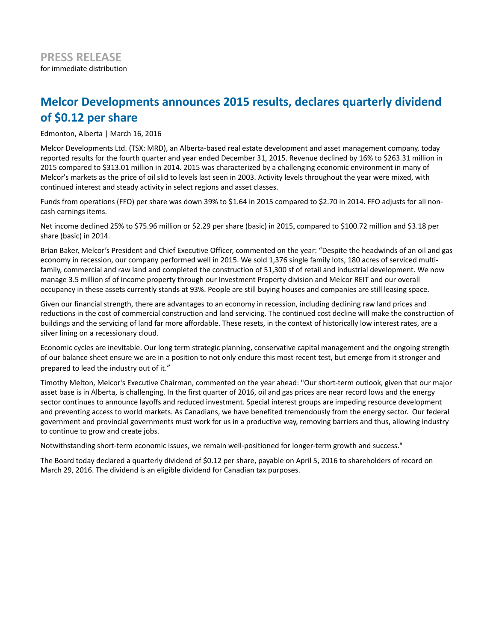## **Melcor Developments announces 2015 results, declares quarterly dividend of \$0.12 per share**

Edmonton, Alberta | March 16, 2016

Melcor Developments Ltd. (TSX: MRD), an Alberta-based real estate development and asset management company, today reported results for the fourth quarter and year ended December 31, 2015. Revenue declined by 16% to \$263.31 million in 2015 compared to \$313.01 million in 2014. 2015 was characterized by a challenging economic environment in many of Melcor's markets as the price of oil slid to levels last seen in 2003. Activity levels throughout the year were mixed, with continued interest and steady activity in select regions and asset classes.

Funds from operations (FFO) per share was down 39% to \$1.64 in 2015 compared to \$2.70 in 2014. FFO adjusts for all noncash earnings items.

Net income declined 25% to \$75.96 million or \$2.29 per share (basic) in 2015, compared to \$100.72 million and \$3.18 per share (basic) in 2014.

Brian Baker, Melcor's President and Chief Executive Officer, commented on the year: "Despite the headwinds of an oil and gas economy in recession, our company performed well in 2015. We sold 1,376 single family lots, 180 acres of serviced multifamily, commercial and raw land and completed the construction of 51,300 sf of retail and industrial development. We now manage 3.5 million sf of income property through our Investment Property division and Melcor REIT and our overall occupancy in these assets currently stands at 93%. People are still buying houses and companies are still leasing space.

Given our financial strength, there are advantages to an economy in recession, including declining raw land prices and reductions in the cost of commercial construction and land servicing. The continued cost decline will make the construction of buildings and the servicing of land far more affordable. These resets, in the context of historically low interest rates, are a silver lining on a recessionary cloud.

Economic cycles are inevitable. Our long term strategic planning, conservative capital management and the ongoing strength of our balance sheet ensure we are in a position to not only endure this most recent test, but emerge from it stronger and prepared to lead the industry out of it."

Timothy Melton, Melcor's Executive Chairman, commented on the year ahead: "Our short-term outlook, given that our major asset base is in Alberta, is challenging. In the first quarter of 2016, oil and gas prices are near record lows and the energy sector continues to announce layoffs and reduced investment. Special interest groups are impeding resource development and preventing access to world markets. As Canadians, we have benefited tremendously from the energy sector. Our federal government and provincial governments must work for us in a productive way, removing barriers and thus, allowing industry to continue to grow and create jobs.

Notwithstanding short-term economic issues, we remain well-positioned for longer-term growth and success."

The Board today declared a quarterly dividend of \$0.12 per share, payable on April 5, 2016 to shareholders of record on March 29, 2016. The dividend is an eligible dividend for Canadian tax purposes.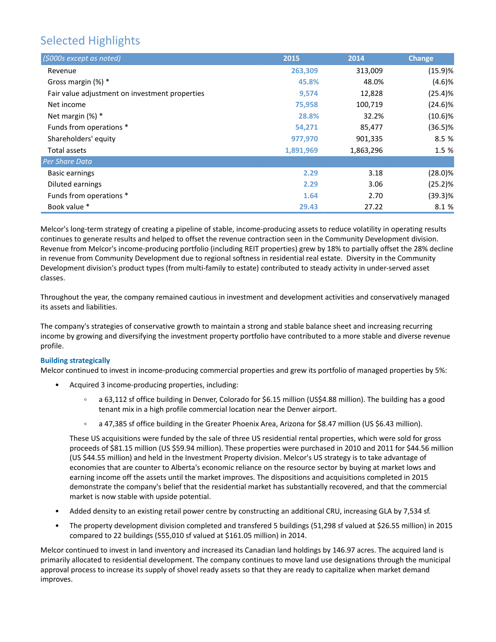# Selected Highlights

| (\$000s except as noted)                       | 2015      | 2014      | <b>Change</b> |
|------------------------------------------------|-----------|-----------|---------------|
| Revenue                                        | 263,309   | 313,009   | (15.9)%       |
| Gross margin $(\%)$ *                          | 45.8%     | 48.0%     | (4.6)%        |
| Fair value adjustment on investment properties | 9,574     | 12,828    | (25.4)%       |
| Net income                                     | 75,958    | 100,719   | $(24.6)\%$    |
| Net margin $(\%)$ *                            | 28.8%     | 32.2%     | $(10.6)\%$    |
| Funds from operations *                        | 54,271    | 85,477    | $(36.5)\%$    |
| Shareholders' equity                           | 977,970   | 901,335   | 8.5 %         |
| Total assets                                   | 1,891,969 | 1,863,296 | 1.5 %         |
| Per Share Data                                 |           |           |               |
| <b>Basic earnings</b>                          | 2.29      | 3.18      | $(28.0)\%$    |
| Diluted earnings                               | 2.29      | 3.06      | (25.2)%       |
| Funds from operations *                        | 1.64      | 2.70      | $(39.3)\%$    |
| Book value *                                   | 29.43     | 27.22     | 8.1 %         |

Melcor's long-term strategy of creating a pipeline of stable, income-producing assets to reduce volatility in operating results continues to generate results and helped to offset the revenue contraction seen in the Community Development division. Revenue from Melcor's income-producing portfolio (including REIT properties) grew by 18% to partially offset the 28% decline in revenue from Community Development due to regional softness in residential real estate. Diversity in the Community Development division's product types (from multi-family to estate) contributed to steady activity in under-served asset classes.

Throughout the year, the company remained cautious in investment and development activities and conservatively managed its assets and liabilities.

The company's strategies of conservative growth to maintain a strong and stable balance sheet and increasing recurring income by growing and diversifying the investment property portfolio have contributed to a more stable and diverse revenue profile.

### **Building strategically**

Melcor continued to invest in income-producing commercial properties and grew its portfolio of managed properties by 5%:

- Acquired 3 income-producing properties, including:
	- a 63,112 sf office building in Denver, Colorado for \$6.15 million (US\$4.88 million). The building has a good  $\circ$ tenant mix in a high profile commercial location near the Denver airport.
	- a 47,385 sf office building in the Greater Phoenix Area, Arizona for \$8.47 million (US \$6.43 million).

These US acquisitions were funded by the sale of three US residential rental properties, which were sold for gross proceeds of \$81.15 million (US \$59.94 million). These properties were purchased in 2010 and 2011 for \$44.56 million (US \$44.55 million) and held in the Investment Property division. Melcor's US strategy is to take advantage of economies that are counter to Alberta's economic reliance on the resource sector by buying at market lows and earning income off the assets until the market improves. The dispositions and acquisitions completed in 2015 demonstrate the company's belief that the residential market has substantially recovered, and that the commercial market is now stable with upside potential.

- Added density to an existing retail power centre by constructing an additional CRU, increasing GLA by 7,534 sf.
- The property development division completed and transfered 5 buildings (51,298 sf valued at \$26.55 million) in 2015 compared to 22 buildings (555,010 sf valued at \$161.05 million) in 2014.

Melcor continued to invest in land inventory and increased its Canadian land holdings by 146.97 acres. The acquired land is primarily allocated to residential development. The company continues to move land use designations through the municipal approval process to increase its supply of shovel ready assets so that they are ready to capitalize when market demand improves.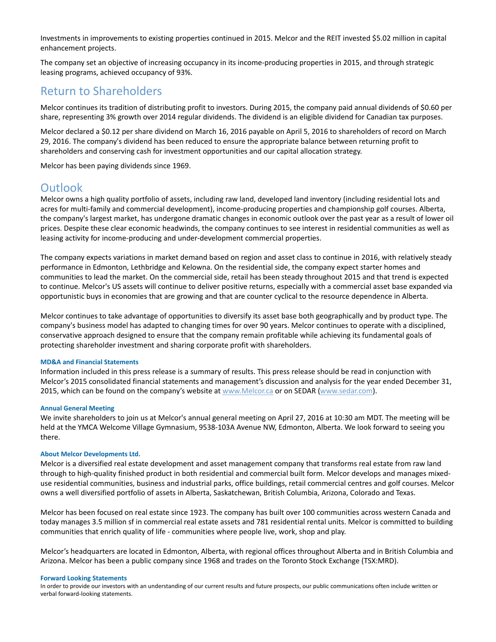Investments in improvements to existing properties continued in 2015. Melcor and the REIT invested \$5.02 million in capital enhancement projects.

The company set an objective of increasing occupancy in its income-producing properties in 2015, and through strategic leasing programs, achieved occupancy of 93%.

## Return to Shareholders

Melcor continues its tradition of distributing profit to investors. During 2015, the company paid annual dividends of \$0.60 per share, representing 3% growth over 2014 regular dividends. The dividend is an eligible dividend for Canadian tax purposes.

Melcor declared a \$0.12 per share dividend on March 16, 2016 payable on April 5, 2016 to shareholders of record on March 29, 2016. The company's dividend has been reduced to ensure the appropriate balance between returning profit to shareholders and conserving cash for investment opportunities and our capital allocation strategy.

Melcor has been paying dividends since 1969.

### **Outlook**

Melcor owns a high quality portfolio of assets, including raw land, developed land inventory (including residential lots and acres for multi-family and commercial development), income-producing properties and championship golf courses. Alberta, the company's largest market, has undergone dramatic changes in economic outlook over the past year as a result of lower oil prices. Despite these clear economic headwinds, the company continues to see interest in residential communities as well as leasing activity for income-producing and under-development commercial properties.

The company expects variations in market demand based on region and asset class to continue in 2016, with relatively steady performance in Edmonton, Lethbridge and Kelowna. On the residential side, the company expect starter homes and communities to lead the market. On the commercial side, retail has been steady throughout 2015 and that trend is expected to continue. Melcor's US assets will continue to deliver positive returns, especially with a commercial asset base expanded via opportunistic buys in economies that are growing and that are counter cyclical to the resource dependence in Alberta.

Melcor continues to take advantage of opportunities to diversify its asset base both geographically and by product type. The company's business model has adapted to changing times for over 90 years. Melcor continues to operate with a disciplined, conservative approach designed to ensure that the company remain profitable while achieving its fundamental goals of protecting shareholder investment and sharing corporate profit with shareholders.

#### **MD&A and Financial Statements**

Information included in this press release is a summary of results. This press release should be read in conjunction with Melcor's 2015 consolidated financial statements and management's discussion and analysis for the year ended December 31, 2015, which can be found on the company's website at www.Melcor.ca or on SEDAR (www.sedar.com).

#### **Annual General Meeting**

We invite shareholders to join us at Melcor's annual general meeting on April 27, 2016 at 10:30 am MDT. The meeting will be held at the YMCA Welcome Village Gymnasium, 9538-103A Avenue NW, Edmonton, Alberta. We look forward to seeing you there.

#### **About Melcor Developments Ltd.**

Melcor is a diversified real estate development and asset management company that transforms real estate from raw land through to high-quality finished product in both residential and commercial built form. Melcor develops and manages mixeduse residential communities, business and industrial parks, office buildings, retail commercial centres and golf courses. Melcor owns a well diversified portfolio of assets in Alberta, Saskatchewan, British Columbia, Arizona, Colorado and Texas.

Melcor has been focused on real estate since 1923. The company has built over 100 communities across western Canada and today manages 3.5 million sf in commercial real estate assets and 781 residential rental units. Melcor is committed to building communities that enrich quality of life - communities where people live, work, shop and play.

Melcor's headquarters are located in Edmonton, Alberta, with regional offices throughout Alberta and in British Columbia and Arizona. Melcor has been a public company since 1968 and trades on the Toronto Stock Exchange (TSX:MRD).

#### **Forward Looking Statements**

In order to provide our investors with an understanding of our current results and future prospects, our public communications often include written or verbal forward-looking statements.